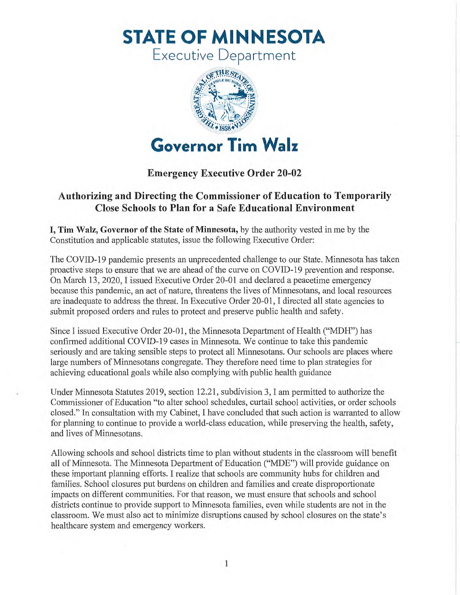**STATE OF MINNESOTA** 

Executive Department



## **Emergency Executive Order 20-02**

## **Authorizing and Directing the Commissioner of Education to Temporarily Close Schools to Plan for a Safe Educational Environment**

**I, Tim Walz, Governor of the State of Minnesota,** by the authority vested in me by the Constitution and applicable statutes, issue the following Executive Order:

The COVID-19 pandemic presents an unprecedented challenge to our State. Minnesota has taken proactive steps to ensure that we are ahead of the curve on COVID-19 prevention and response. On March 13, 2020, I issued Executive Order 20-01 and declared a peacetime emergency because this pandemic, an act of nature, threatens the lives of Minnesotans, and local resources are inadequate to address the threat. In Executive Order 20-01, I directed all state agencies to submit proposed orders and rules to protect and preserve public health and safety.

Since I issued Executive Order 20-01, the Minnesota Department of Health ("MDH") has confirmed additional COVID-19 cases in Minnesota. We continue to take this pandemic seriously and are taking sensible steps to protect all Minnesotans. Our schools are places where large numbers of Minnesotans congregate. They therefore need time to plan strategies for achieving educational goals while also complying with public health guidance

Under Minnesota Statutes 2019, section 12.21, subdivision 3, I am permitted to authorize the Commissioner of Education "to alter school schedules, curtail school activities, or order schools closed." In consultation with my Cabinet, I have concluded that such action is warranted to allow for planning to continue to provide a world-class education, while preserving the health, safety, and lives of Minnesotans.

Allowing schools and school districts time to plan without students in the classroom will benefit all of Minnesota. The Minnesota Department of Education ("MDE") will provide guidance on these important planning efforts. I realize that schools are community hubs for children and families. School closures put burdens on children and families and create disproportionate impacts on different communities. For that reason, we must ensure that schools and school districts continue to provide support to Minnesota families, even while students are not in the classroom. We must also act to minimize disruptions caused by school closures on the state's healthcare system and emergency workers.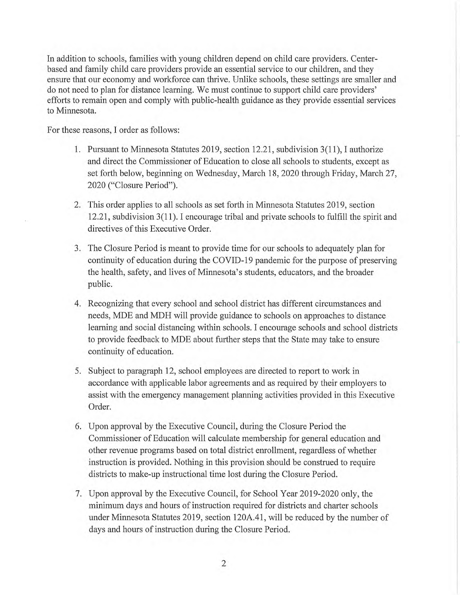In addition to schools, families with young children depend on child care providers. Centerbased and family child care providers provide an essential service to our children, and they ensure that our economy and workforce can thrive. Unlike schools, these settings are smaller and do not need to plan for distance learning. We must continue to support child care providers' efforts to remain open and comply with public-health guidance as they provide essential services to Minnesota.

For these reasons, I order as follows:

- 1. Pursuant to Minnesota Statutes 2019, section 12.21, subdivision 3(11), I authorize and direct the Commissioner of Education to close all schools to students, except as set forth below, beginning on Wednesday, March 18, 2020 through Friday, March 27, 2020 ("Closure Period").
- 2. This order applies to all schools as set forth in Minnesota Statutes 2019, section 12.21, subdivision 3(11). I encourage tribal and private schools to fulfill the spirit and directives of this Executive Order.
- 3. The Closure Period is meant to provide time for our schools to adequately plan for continuity of education during the COVID-19 pandemic for the purpose of preserving the health, safety, and lives of Minnesota's students, educators, and the broader public.
- 4. Recognizing that every school and school district has different circumstances and needs, MDE and MDH will provide guidance to schools on approaches to distance learning and social distancing within schools. I encourage schools and school districts to provide feedback to MDE about further steps that the State may take to ensure continuity of education.
- 5. Subject to paragraph 12, school employees are directed to report to work in accordance with applicable labor agreements and as required by their employers to assist with the emergency management planning activities provided in this Executive Order.
- 6. Upon approval by the Executive Council, during the Closure Period the Commissioner of Education will calculate membership for general education and other revenue programs based on total district enrollment, regardless of whether instruction is provided. Nothing in this provision should be construed to require districts to make-up instructional time lost during the Closure Period.
- 7. Upon approval by the Executive Council, for School Year 2019-2020 only, the minimum days and hours of instruction required for districts and charter schools under Minnesota Statutes 2019, section 120A.41, will be reduced by the number of days and hours of instruction during the Closure Period.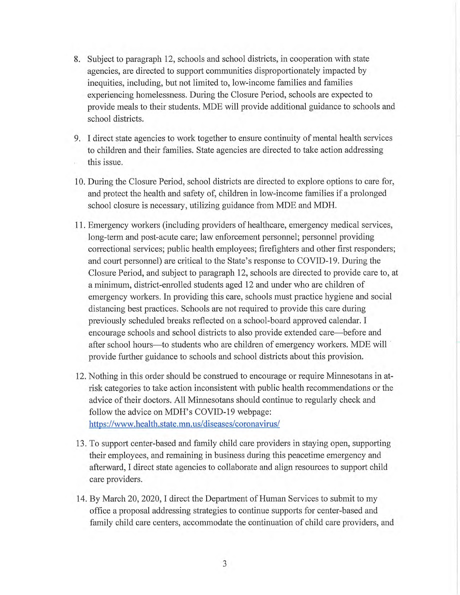- 8. Subject to paragraph 12, schools and school districts, in cooperation with state agencies, are directed to support communities disproportionately impacted by inequities, including, but not limited to, low-income families and families experiencing homelessness. During the Closure Period, schools are expected to provide meals to their students. MDE will provide additional guidance to schools and school districts.
- 9. I direct state agencies to work together to ensure continuity of mental health services to children and their families. State agencies are directed to take action addressing this issue.
- 10. During the Closure Period, school districts are directed to explore options to care for, and protect the health and safety of, children in low-income families if a prolonged school closure is necessary, utilizing guidance from MDE and MDH.
- 11. Emergency workers (including providers of healthcare, emergency medical services, long-term and post-acute care; law enforcement personnel; personnel providing correctional services; public health employees; firefighters and other first responders; and court personnel) are critical to the State's response to COVID-19. During the Closure Period, and subject to paragraph 12, schools are directed to provide care to, at a minimum, district-enrolled students aged 12 and under who are children of emergency workers. In providing this care, schools must practice hygiene and social distancing best practices. Schools are not required to provide this care during previously scheduled breaks reflected on a school-board approved calendar. I encourage schools and school districts to also provide extended care—before and after school hours—to students who are children of emergency workers. MDE will provide further guidance to schools and school districts about this provision.
- 12. Nothing in this order should be construed to encourage or require Minnesotans in atrisk categories to take action inconsistent with public health recommendations or the advice of their doctors. All Minnesotans should continue to regularly check and follow the advice on MDH's COVID-19 webpage: https://www.health.state.mn.us/diseases/coronavirus/
- 13 To support center-based and family child care providers in staying open, supporting their employees, and remaining in business during this peacetime emergency and afterward, I direct state agencies to collaborate and align resources to support child care providers.
- 14. By March 20, 2020, I direct the Department of Human Services to submit to my office a proposal addressing strategies to continue supports for center-based and family child care centers, accommodate the continuation of child care providers, and